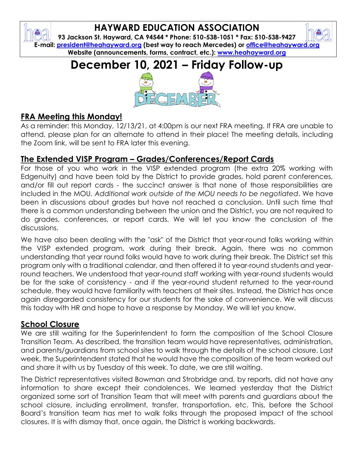## **HAYWARD EDUCATION ASSOCIATION**

**93 Jackson St. Hayward, CA 94544 \* Phone: 510-538-1051 \* Fax: 510-538-9427 E-mail: [president@heahayward.org](mailto:president@heahayward.org) (best way to reach Mercedes) or [office@heahayward.org](mailto:office@heahayward.org) Website (announcements, forms, contract, etc.): [www.heahayward.org](http://www.heahayward.org/)**

# **December 10, 2021 – Friday Follow-up**



## **FRA Meeting this Monday!**

As a reminder: this Monday, 12/13/21, at 4:00pm is our next FRA meeting. If FRA are unable to attend, please plan for an alternate to attend in their place! The meeting details, including the Zoom link, will be sent to FRA later this evening.

## **The Extended VISP Program – Grades/Conferences/Report Cards**

For those of you who work in the VISP extended program (the extra 20% working with Edgenuity) and have been told by the District to provide grades, hold parent conferences, and/or fill out report cards - the succinct answer is that none of those responsibilities are included in the MOU. *Additional work outside of the MOU needs to be negotiated*. We have been in discussions about grades but have not reached a conclusion. Until such time that there is a common understanding between the union and the District, you are not required to do grades, conferences, or report cards. We will let you know the conclusion of the discussions.

We have also been dealing with the "ask" of the District that year-round folks working within the VISP extended program, work during their break. Again, there was no common understanding that year round folks would have to work during their break. The District set this program only with a traditional calendar, and then offered it to year-round students and yearround teachers. We understood that year-round staff working with year-round students would be for the sake of consistency - and if the year-round student returned to the year-round schedule, they would have familiarity with teachers at their sites. Instead, the District has once again disregarded consistency for our students for the sake of convenience. We will discuss this today with HR and hope to have a response by Monday. We will let you know.

### **School Closure**

We are still waiting for the Superintendent to form the composition of the School Closure Transition Team. As described, the transition team would have representatives, administration, and parents/guardians from school sites to walk through the details of the school closure. Last week, the Superintendent stated that he would have the composition of the team worked out and share it with us by Tuesday of this week. To date, we are still waiting.

The District representatives visited Bowman and Strobridge and, by reports, did not have any information to share except their condolences. We learned yesterday that the District organized some sort of Transition Team that will meet with parents and guardians about the school closure, including enrollment, transfer, transportation, etc. This, before the School Board's transition team has met to walk folks through the proposed impact of the school closures. It is with dismay that, once again, the District is working backwards.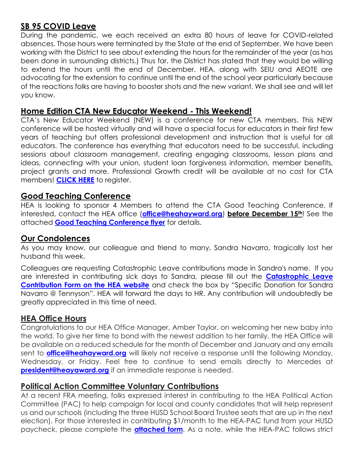## **SB 95 COVID Leave**

During the pandemic, we each received an extra 80 hours of leave for COVID-related absences. Those hours were terminated by the State at the end of September. We have been working with the District to see about extending the hours for the remainder of the year (as has been done in surrounding districts.) Thus far, the District has stated that they would be willing to extend the hours until the end of December. HEA, along with SEIU and AEOTE are advocating for the extension to continue until the end of the school year particularly because of the reactions folks are having to booster shots and the new variant. We shall see and will let you know.

#### **Home Edition CTA New Educator Weekend - This Weekend!**

CTA's New Educator Weekend (NEW) is a conference for new CTA members. This NEW conference will be hosted virtually and will have a special focus for educators in their first few years of teaching but offers professional development and instruction that is useful for all educators. The conference has everything that educators need to be successful, including sessions about classroom management, creating engaging classrooms, lesson plans and ideas, connecting with your union, student loan forgiveness information, member benefits, project grants and more. Professional Growth credit will be available at no cost for CTA members! **[CLICK HERE](https://www.cta.org/event/new-educator-weekend-2021-december)** to register.

#### **Good Teaching Conference**

HEA is looking to sponsor 4 Members to attend the CTA Good Teaching Conference. If interested, contact the HEA office (**[office@heahayward.org](mailto:office@heahayward.org)**) **before December 15th**! See the attached **[Good Teaching Conference flyer](https://drive.google.com/file/d/1K2N1PTQf65dRIt4jTl_2dU0O2YE1tADY/view?usp=sharing)** for details.

#### **Our Condolences**

As you may know, our colleague and friend to many, Sandra Navarro, tragically lost her husband this week.

Colleagues are requesting Catastrophic Leave contributions made in Sandra's name. If you are interested in contributing sick days to Sandra, please fill out the **[Catastrophic Leave](https://4299b6d5-e13f-46f6-8230-c97693ddc685.filesusr.com/ugd/e308bc_fa613786cd7d46bb89acd73612f3f4dd.pdf)  [Contribution Form on the HEA website](https://4299b6d5-e13f-46f6-8230-c97693ddc685.filesusr.com/ugd/e308bc_fa613786cd7d46bb89acd73612f3f4dd.pdf)** and check the box by "Specific Donation for Sandra Navarro @ Tennyson". HEA will forward the days to HR. Any contribution will undoubtedly be greatly appreciated in this time of need.

#### **HEA Office Hours**

Congratulations to our HEA Office Manager, Amber Taylor, on welcoming her new baby into the world. To give her time to bond with the newest addition to her family, the HEA Office will be available on a reduced schedule for the month of December and January and any emails sent to **[office@heahayward.org](mailto:office@heahayward.org)** will likely not receive a response until the following Monday, Wednesday, or Friday. Feel free to continue to send emails directly to Mercedes at **[president@heayaward.org](mailto:president@heayaward.org)** if an immediate response is needed.

#### **Political Action Committee Voluntary Contributions**

At a recent FRA meeting, folks expressed interest in contributing to the HEA Political Action Committee (PAC) to help campaign for local and county candidates that will help represent us and our schools (including the three HUSD School Board Trustee seats that are up in the next election). For those interested in contributing \$1/month to the HEA-PAC fund from your HUSD paycheck, please complete the **[attached form](https://drive.google.com/file/d/1uimKH-c7u73aWyBcF3ZkAuyiYhuBqfEt/view?usp=sharing)**. As a note, while the HEA-PAC follows strict